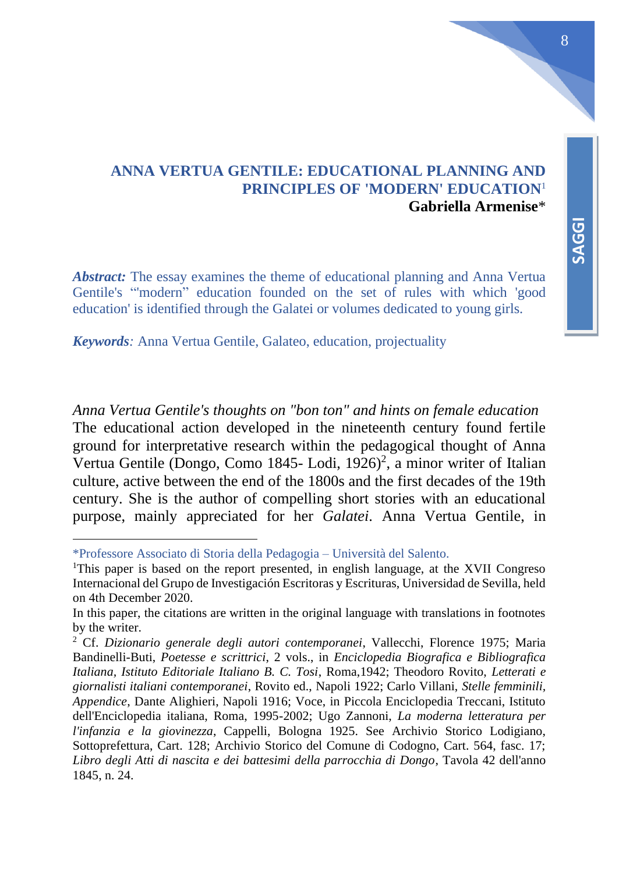## **ANNA VERTUA GENTILE: EDUCATIONAL PLANNING AND PRINCIPLES OF 'MODERN' EDUCATION**<sup>1</sup> **Gabriella Armenise**\*

*Abstract:* The essay examines the theme of educational planning and Anna Vertua Gentile's "'modern" education founded on the set of rules with which 'good education' is identified through the Galatei or volumes dedicated to young girls.

*Keywords:* Anna Vertua Gentile, Galateo, education, projectuality

*Anna Vertua Gentile's thoughts on "bon ton" and hints on female education*  The educational action developed in the nineteenth century found fertile ground for interpretative research within the pedagogical thought of Anna Vertua Gentile (Dongo, Como 1845- Lodi, 1926)<sup>2</sup>, a minor writer of Italian culture, active between the end of the 1800s and the first decades of the 19th century. She is the author of compelling short stories with an educational purpose, mainly appreciated for her *Galatei*. Anna Vertua Gentile, in **SAGGI**

<sup>\*</sup>Professore Associato di Storia della Pedagogia – Università del Salento.

<sup>1</sup>This paper is based on the report presented, in english language, at the XVII Congreso Internacional del Grupo de Investigación Escritoras y Escrituras, Universidad de Sevilla, held on 4th December 2020.

In this paper, the citations are written in the original language with translations in footnotes by the writer.

<sup>2</sup> Cf. *Dizionario generale degli autori contemporanei*, Vallecchi, Florence 1975; Maria Bandinelli-Buti, *Poetesse e scrittrici*, 2 vols., in *Enciclopedia Biografica e Bibliografica Italiana, Istituto Editoriale Italiano B. C. Tosi*, Roma,1942; Theodoro Rovito, *Letterati e giornalisti italiani contemporanei*, Rovito ed., Napoli 1922; Carlo Villani, *Stelle femminili, Appendice*, Dante Alighieri, Napoli 1916; Voce, in Piccola Enciclopedia Treccani, Istituto dell'Enciclopedia italiana, Roma, 1995-2002; Ugo Zannoni, *La moderna letteratura per l'infanzia e la giovinezza*, Cappelli, Bologna 1925. See Archivio Storico Lodigiano, Sottoprefettura, Cart. 128; Archivio Storico del Comune di Codogno, Cart. 564, fasc. 17; *Libro degli Atti di nascita e dei battesimi della parrocchia di Dongo*, Tavola 42 dell'anno 1845, n. 24.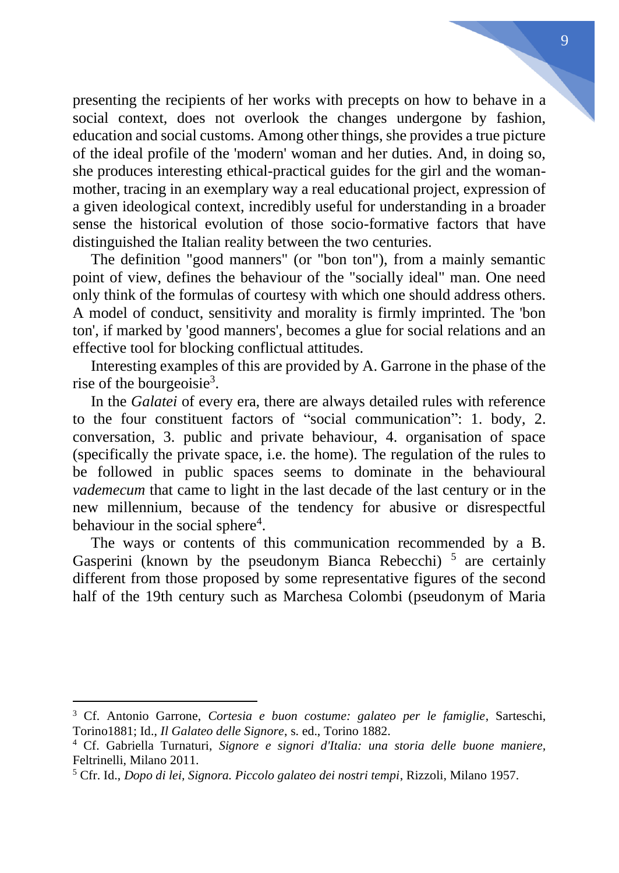presenting the recipients of her works with precepts on how to behave in a social context, does not overlook the changes undergone by fashion, education and social customs. Among other things, she provides a true picture of the ideal profile of the 'modern' woman and her duties. And, in doing so, she produces interesting ethical-practical guides for the girl and the womanmother, tracing in an exemplary way a real educational project, expression of a given ideological context, incredibly useful for understanding in a broader sense the historical evolution of those socio-formative factors that have distinguished the Italian reality between the two centuries.

The definition "good manners" (or "bon ton"), from a mainly semantic point of view, defines the behaviour of the "socially ideal" man. One need only think of the formulas of courtesy with which one should address others. A model of conduct, sensitivity and morality is firmly imprinted. The 'bon ton', if marked by 'good manners', becomes a glue for social relations and an effective tool for blocking conflictual attitudes.

Interesting examples of this are provided by A. Garrone in the phase of the rise of the bourgeoisie<sup>3</sup>.

In the *Galatei* of every era, there are always detailed rules with reference to the four constituent factors of "social communication": 1. body, 2. conversation, 3. public and private behaviour, 4. organisation of space (specifically the private space, i.e. the home). The regulation of the rules to be followed in public spaces seems to dominate in the behavioural *vademecum* that came to light in the last decade of the last century or in the new millennium, because of the tendency for abusive or disrespectful behaviour in the social sphere<sup>4</sup>.

The ways or contents of this communication recommended by a B. Gasperini (known by the pseudonym Bianca Rebecchi)  $5$  are certainly different from those proposed by some representative figures of the second half of the 19th century such as Marchesa Colombi (pseudonym of Maria

<sup>3</sup> Cf. Antonio Garrone, *Cortesia e buon costume: galateo per le famiglie*, Sarteschi, Torino1881; Id., *Il Galateo delle Signore*, s. ed., Torino 1882.

<sup>4</sup> Cf. Gabriella Turnaturi, *Signore e signori d'Italia: una storia delle buone maniere,* Feltrinelli, Milano 2011.

<sup>5</sup> Cfr. Id., *Dopo di lei, Signora. Piccolo galateo dei nostri tempi*, Rizzoli, Milano 1957.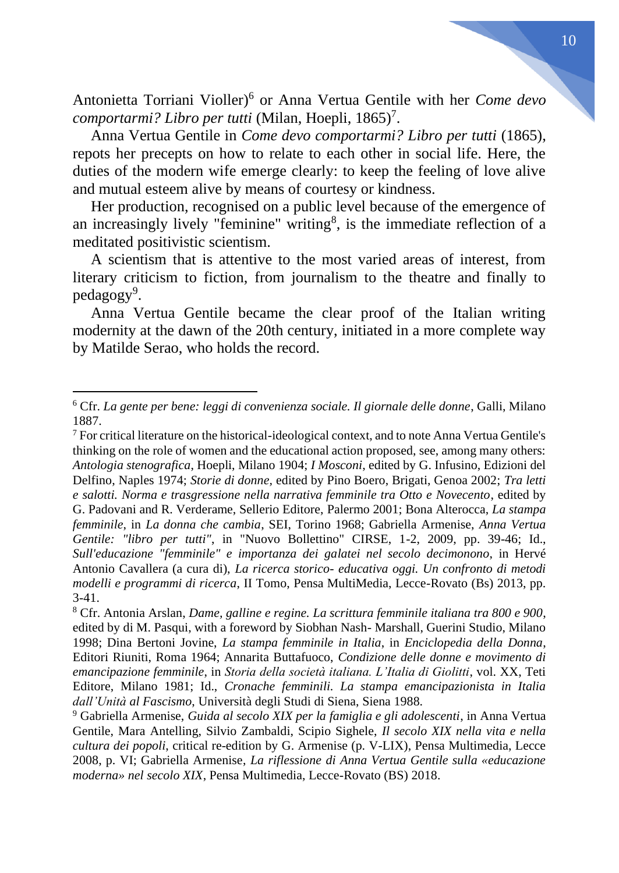Antonietta Torriani Violler)<sup>6</sup> or Anna Vertua Gentile with her *Come devo comportarmi? Libro per tutti* (Milan, Hoepli, 1865)<sup>7</sup> .

Anna Vertua Gentile in *Come devo comportarmi? Libro per tutti* (1865), repots her precepts on how to relate to each other in social life. Here, the duties of the modern wife emerge clearly: to keep the feeling of love alive and mutual esteem alive by means of courtesy or kindness.

Her production, recognised on a public level because of the emergence of an increasingly lively "feminine" writing<sup>8</sup>, is the immediate reflection of a meditated positivistic scientism.

A scientism that is attentive to the most varied areas of interest, from literary criticism to fiction, from journalism to the theatre and finally to pedagogy<sup>9</sup>.

Anna Vertua Gentile became the clear proof of the Italian writing modernity at the dawn of the 20th century, initiated in a more complete way by Matilde Serao, who holds the record.

<sup>6</sup> Cfr. *La gente per bene: leggi di convenienza sociale. Il giornale delle donne*, Galli, Milano 1887.

 $<sup>7</sup>$  For critical literature on the historical-ideological context, and to note Anna Vertua Gentile's</sup> thinking on the role of women and the educational action proposed, see, among many others: *Antologia stenografica*, Hoepli, Milano 1904; *I Mosconi*, edited by G. Infusino, Edizioni del Delfino, Naples 1974; *Storie di donne,* edited by Pino Boero, Brigati, Genoa 2002; *Tra letti e salotti. Norma e trasgressione nella narrativa femminile tra Otto e Novecento*, edited by G. Padovani and R. Verderame, Sellerio Editore, Palermo 2001; Bona Alterocca, *La stampa femminile*, in *La donna che cambia*, SEI, Torino 1968; Gabriella Armenise, *Anna Vertua Gentile: "libro per tutti"*, in "Nuovo Bollettino" CIRSE, 1-2, 2009, pp. 39-46; Id., *Sull'educazione "femminile" e importanza dei galatei nel secolo decimonono*, in Hervé Antonio Cavallera (a cura di), *La ricerca storico- educativa oggi. Un confronto di metodi modelli e programmi di ricerca*, II Tomo, Pensa MultiMedia, Lecce-Rovato (Bs) 2013, pp. 3-41.

<sup>8</sup> Cfr. Antonia Arslan, *Dame, galline e regine. La scrittura femminile italiana tra 800 e 900*, edited by di M. Pasqui, with a foreword by Siobhan Nash- Marshall, Guerini Studio, Milano 1998; Dina Bertoni Jovine, *La stampa femminile in Italia*, in *Enciclopedia della Donna*, Editori Riuniti, Roma 1964; Annarita Buttafuoco, *Condizione delle donne e movimento di emancipazione femminile*, in *Storia della società italiana. L'Italia di Giolitti*, vol. XX, Teti Editore, Milano 1981; Id., *Cronache femminili. La stampa emancipazionista in Italia dall'Unità al Fascismo*, Università degli Studi di Siena, Siena 1988.

<sup>9</sup> Gabriella Armenise, *Guida al secolo XIX per la famiglia e gli adolescenti*, in Anna Vertua Gentile, Mara Antelling, Silvio Zambaldi, Scipio Sighele, *Il secolo XIX nella vita e nella cultura dei popoli*, critical re-edition by G. Armenise (p. V-LIX), Pensa Multimedia, Lecce 2008, p. VI; Gabriella Armenise, *La riflessione di Anna Vertua Gentile sulla «educazione moderna» nel secolo XIX*, Pensa Multimedia, Lecce-Rovato (BS) 2018.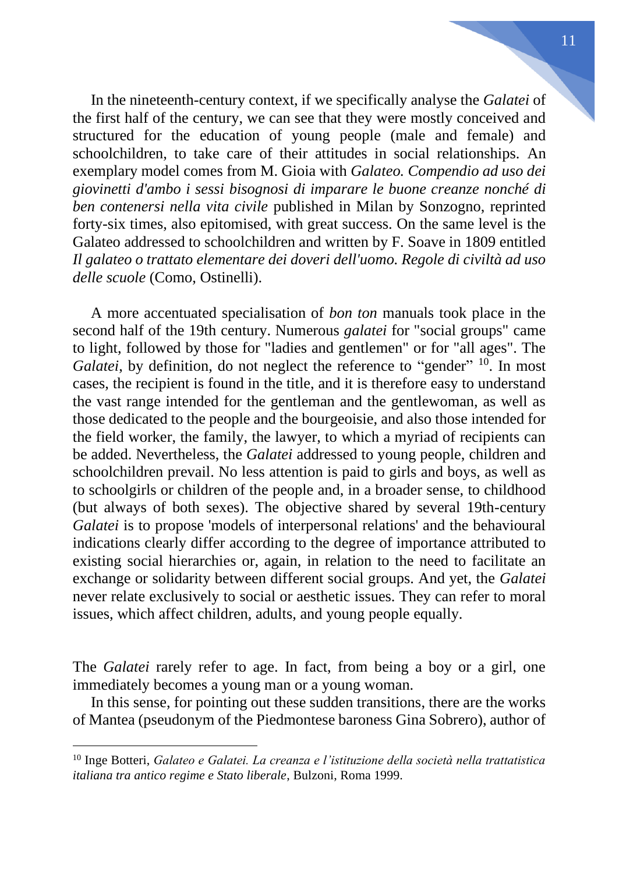In the nineteenth-century context, if we specifically analyse the *Galatei* of the first half of the century, we can see that they were mostly conceived and structured for the education of young people (male and female) and schoolchildren, to take care of their attitudes in social relationships. An exemplary model comes from M. Gioia with *Galateo. Compendio ad uso dei giovinetti d'ambo i sessi bisognosi di imparare le buone creanze nonché di ben contenersi nella vita civile* published in Milan by Sonzogno, reprinted forty-six times, also epitomised, with great success. On the same level is the Galateo addressed to schoolchildren and written by F. Soave in 1809 entitled *Il galateo o trattato elementare dei doveri dell'uomo. Regole di civiltà ad uso delle scuole* (Como, Ostinelli).

A more accentuated specialisation of *bon ton* manuals took place in the second half of the 19th century. Numerous *galatei* for "social groups" came to light, followed by those for "ladies and gentlemen" or for "all ages". The Galatei, by definition, do not neglect the reference to "gender"<sup>10</sup>. In most cases, the recipient is found in the title, and it is therefore easy to understand the vast range intended for the gentleman and the gentlewoman, as well as those dedicated to the people and the bourgeoisie, and also those intended for the field worker, the family, the lawyer, to which a myriad of recipients can be added. Nevertheless, the *Galatei* addressed to young people, children and schoolchildren prevail. No less attention is paid to girls and boys, as well as to schoolgirls or children of the people and, in a broader sense, to childhood (but always of both sexes). The objective shared by several 19th-century *Galatei* is to propose 'models of interpersonal relations' and the behavioural indications clearly differ according to the degree of importance attributed to existing social hierarchies or, again, in relation to the need to facilitate an exchange or solidarity between different social groups. And yet, the *Galatei* never relate exclusively to social or aesthetic issues. They can refer to moral issues, which affect children, adults, and young people equally.

The *Galatei* rarely refer to age. In fact, from being a boy or a girl, one immediately becomes a young man or a young woman.

In this sense, for pointing out these sudden transitions, there are the works of Mantea (pseudonym of the Piedmontese baroness Gina Sobrero), author of

<sup>10</sup> Inge Botteri, *Galateo e Galatei. La creanza e l'istituzione della società nella trattatistica italiana tra antico regime e Stato liberale*, Bulzoni, Roma 1999.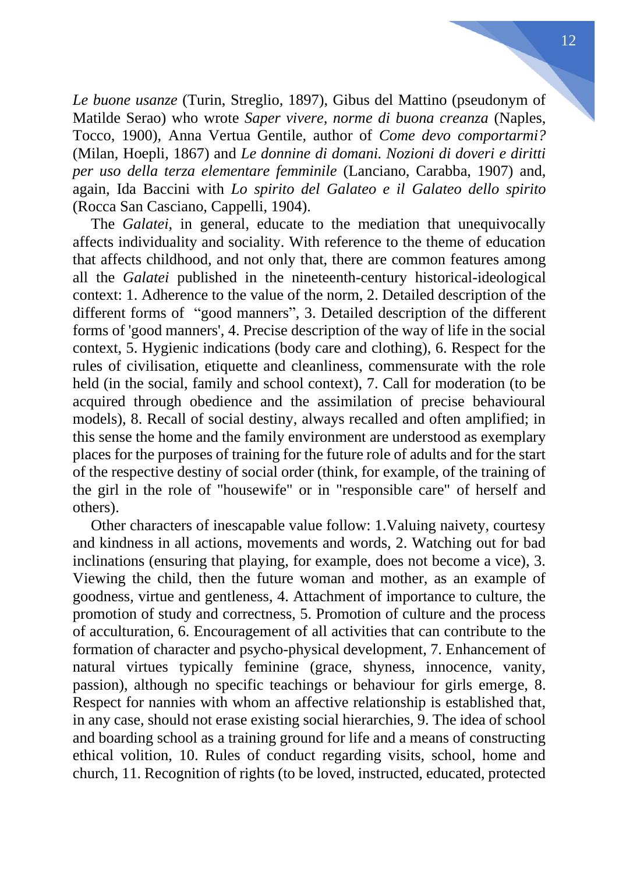*Le buone usanze* (Turin, Streglio, 1897), Gibus del Mattino (pseudonym of Matilde Serao) who wrote *Saper vivere, norme di buona creanza* (Naples, Tocco, 1900), Anna Vertua Gentile, author of *Come devo comportarmi?* (Milan, Hoepli, 1867) and *Le donnine di domani. Nozioni di doveri e diritti per uso della terza elementare femminile* (Lanciano, Carabba, 1907) and, again, Ida Baccini with *Lo spirito del Galateo e il Galateo dello spirito* (Rocca San Casciano, Cappelli, 1904).

The *Galatei*, in general, educate to the mediation that unequivocally affects individuality and sociality. With reference to the theme of education that affects childhood, and not only that, there are common features among all the *Galatei* published in the nineteenth-century historical-ideological context: 1. Adherence to the value of the norm, 2. Detailed description of the different forms of "good manners", 3. Detailed description of the different forms of 'good manners', 4. Precise description of the way of life in the social context, 5. Hygienic indications (body care and clothing), 6. Respect for the rules of civilisation, etiquette and cleanliness, commensurate with the role held (in the social, family and school context), 7. Call for moderation (to be acquired through obedience and the assimilation of precise behavioural models), 8. Recall of social destiny, always recalled and often amplified; in this sense the home and the family environment are understood as exemplary places for the purposes of training for the future role of adults and for the start of the respective destiny of social order (think, for example, of the training of the girl in the role of "housewife" or in "responsible care" of herself and others).

Other characters of inescapable value follow: 1.Valuing naivety, courtesy and kindness in all actions, movements and words, 2. Watching out for bad inclinations (ensuring that playing, for example, does not become a vice), 3. Viewing the child, then the future woman and mother, as an example of goodness, virtue and gentleness, 4. Attachment of importance to culture, the promotion of study and correctness, 5. Promotion of culture and the process of acculturation, 6. Encouragement of all activities that can contribute to the formation of character and psycho-physical development, 7. Enhancement of natural virtues typically feminine (grace, shyness, innocence, vanity, passion), although no specific teachings or behaviour for girls emerge, 8. Respect for nannies with whom an affective relationship is established that, in any case, should not erase existing social hierarchies, 9. The idea of school and boarding school as a training ground for life and a means of constructing ethical volition, 10. Rules of conduct regarding visits, school, home and church, 11. Recognition of rights (to be loved, instructed, educated, protected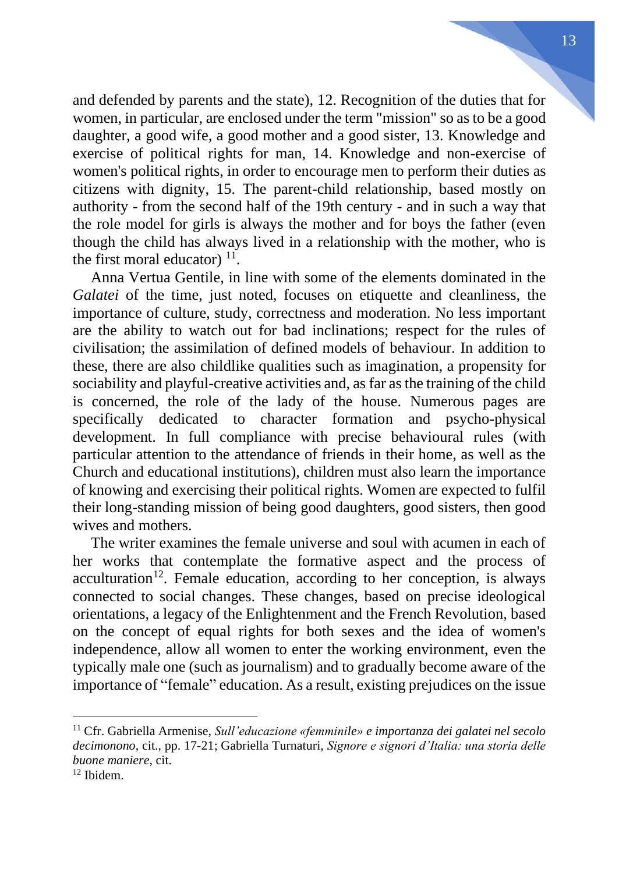and defended by parents and the state), 12. Recognition of the duties that for women, in particular, are enclosed under the term "mission" so as to be a good daughter, a good wife, a good mother and a good sister, 13. Knowledge and exercise of political rights for man, 14. Knowledge and non-exercise of women's political rights, in order to encourage men to perform their duties as citizens with dignity, 15. The parent-child relationship, based mostly on authority - from the second half of the 19th century - and in such a way that the role model for girls is always the mother and for boys the father (even though the child has always lived in a relationship with the mother, who is the first moral educator)  $11$ .

Anna Vertua Gentile, in line with some of the elements dominated in the *Galatei* of the time, just noted, focuses on etiquette and cleanliness, the importance of culture, study, correctness and moderation. No less important are the ability to watch out for bad inclinations; respect for the rules of civilisation; the assimilation of defined models of behaviour. In addition to these, there are also childlike qualities such as imagination, a propensity for sociability and playful-creative activities and, as far as the training of the child is concerned, the role of the lady of the house. Numerous pages are specifically dedicated to character formation and psycho-physical development. In full compliance with precise behavioural rules (with particular attention to the attendance of friends in their home, as well as the Church and educational institutions), children must also learn the importance of knowing and exercising their political rights. Women are expected to fulfil their long-standing mission of being good daughters, good sisters, then good wives and mothers.

The writer examines the female universe and soul with acumen in each of her works that contemplate the formative aspect and the process of acculturation<sup>12</sup>. Female education, according to her conception, is always connected to social changes. These changes, based on precise ideological orientations, a legacy of the Enlightenment and the French Revolution, based on the concept of equal rights for both sexes and the idea of women's independence, allow all women to enter the working environment, even the typically male one (such as journalism) and to gradually become aware of the importance of "female" education. As a result, existing prejudices on the issue

<sup>11</sup> Cfr. Gabriella Armenise, *Sull'educazione «femminile» e importanza dei galatei nel secolo decimonono*, cit., pp. 17-21; Gabriella Turnaturi, *Signore e signori d'Italia: una storia delle buone maniere*, cit.

<sup>12</sup> Ibidem.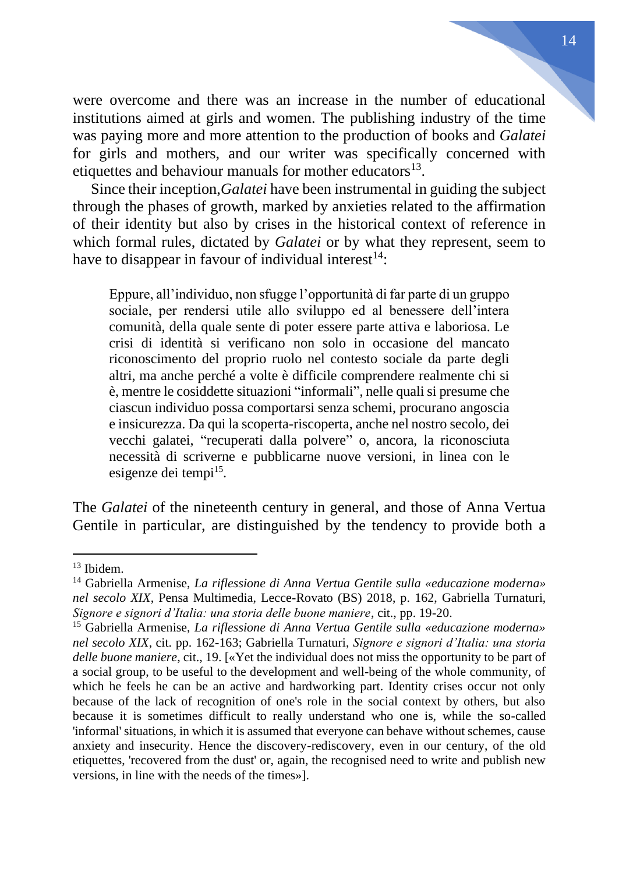were overcome and there was an increase in the number of educational institutions aimed at girls and women. The publishing industry of the time was paying more and more attention to the production of books and *Galatei* for girls and mothers, and our writer was specifically concerned with etiquettes and behaviour manuals for mother educators<sup>13</sup>.

Since their inception,*Galatei* have been instrumental in guiding the subject through the phases of growth, marked by anxieties related to the affirmation of their identity but also by crises in the historical context of reference in which formal rules, dictated by *Galatei* or by what they represent, seem to have to disappear in favour of individual interest<sup>14</sup>:

Eppure, all'individuo, non sfugge l'opportunità di far parte di un gruppo sociale, per rendersi utile allo sviluppo ed al benessere dell'intera comunità, della quale sente di poter essere parte attiva e laboriosa. Le crisi di identità si verificano non solo in occasione del mancato riconoscimento del proprio ruolo nel contesto sociale da parte degli altri, ma anche perché a volte è difficile comprendere realmente chi si è, mentre le cosiddette situazioni "informali", nelle quali si presume che ciascun individuo possa comportarsi senza schemi, procurano angoscia e insicurezza. Da qui la scoperta-riscoperta, anche nel nostro secolo, dei vecchi galatei, "recuperati dalla polvere" o, ancora, la riconosciuta necessità di scriverne e pubblicarne nuove versioni, in linea con le esigenze dei tempi<sup>15</sup>.

The *Galatei* of the nineteenth century in general, and those of Anna Vertua Gentile in particular, are distinguished by the tendency to provide both a

<sup>13</sup> Ibidem.

<sup>14</sup> Gabriella Armenise, *La riflessione di Anna Vertua Gentile sulla «educazione moderna» nel secolo XIX*, Pensa Multimedia, Lecce-Rovato (BS) 2018, p. 162, Gabriella Turnaturi, *Signore e signori d'Italia: una storia delle buone maniere*, cit., pp. 19-20.

<sup>15</sup> Gabriella Armenise, *La riflessione di Anna Vertua Gentile sulla «educazione moderna» nel secolo XIX*, cit. pp. 162-163; Gabriella Turnaturi, *Signore e signori d'Italia: una storia delle buone maniere*, cit., 19. [«Yet the individual does not miss the opportunity to be part of a social group, to be useful to the development and well-being of the whole community, of which he feels he can be an active and hardworking part. Identity crises occur not only because of the lack of recognition of one's role in the social context by others, but also because it is sometimes difficult to really understand who one is, while the so-called 'informal' situations, in which it is assumed that everyone can behave without schemes, cause anxiety and insecurity. Hence the discovery-rediscovery, even in our century, of the old etiquettes, 'recovered from the dust' or, again, the recognised need to write and publish new versions, in line with the needs of the times»].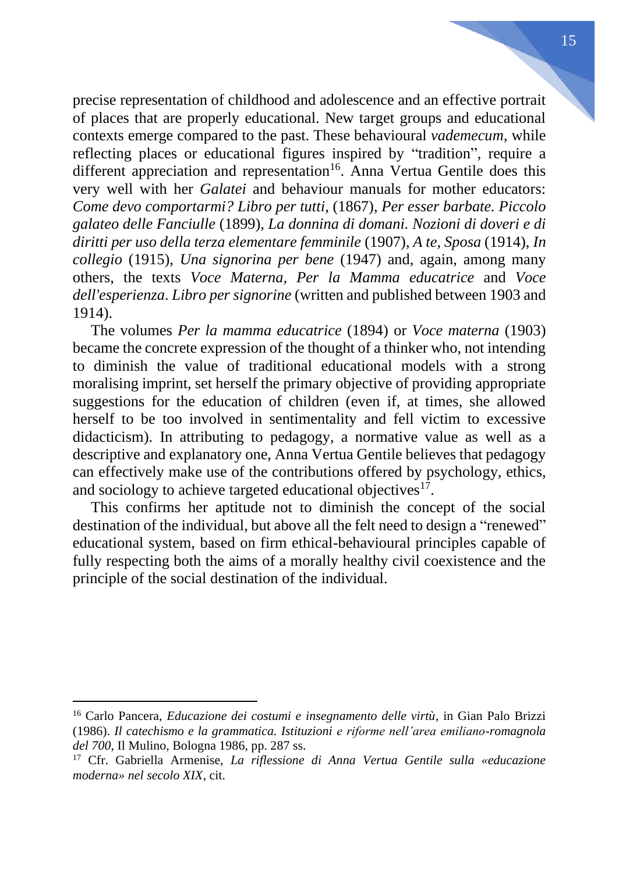precise representation of childhood and adolescence and an effective portrait of places that are properly educational. New target groups and educational contexts emerge compared to the past. These behavioural *vademecum*, while reflecting places or educational figures inspired by "tradition", require a different appreciation and representation<sup>16</sup>. Anna Vertua Gentile does this very well with her *Galatei* and behaviour manuals for mother educators: *Come devo comportarmi? Libro per tutti*, (1867), *Per esser barbate. Piccolo galateo delle Fanciulle* (1899), *La donnina di domani. Nozioni di doveri e di diritti per uso della terza elementare femminile* (1907), *A te, Sposa* (1914), *In collegio* (1915), *Una signorina per bene* (1947) and, again, among many others, the texts *Voce Materna, Per la Mamma educatrice* and *Voce dell'esperienza*. *Libro per signorine* (written and published between 1903 and 1914).

The volumes *Per la mamma educatrice* (1894) or *Voce materna* (1903) became the concrete expression of the thought of a thinker who, not intending to diminish the value of traditional educational models with a strong moralising imprint, set herself the primary objective of providing appropriate suggestions for the education of children (even if, at times, she allowed herself to be too involved in sentimentality and fell victim to excessive didacticism). In attributing to pedagogy, a normative value as well as a descriptive and explanatory one, Anna Vertua Gentile believes that pedagogy can effectively make use of the contributions offered by psychology, ethics, and sociology to achieve targeted educational objectives $17$ .

This confirms her aptitude not to diminish the concept of the social destination of the individual, but above all the felt need to design a "renewed" educational system, based on firm ethical-behavioural principles capable of fully respecting both the aims of a morally healthy civil coexistence and the principle of the social destination of the individual.

<sup>16</sup> Carlo Pancera, *Educazione dei costumi e insegnamento delle virtù*, in Gian Palo Brizzi (1986). *Il catechismo e la grammatica. Istituzioni e riforme nell'area emiliano-romagnola del 700*, Il Mulino, Bologna 1986, pp. 287 ss.

<sup>17</sup> Cfr. Gabriella Armenise, *La riflessione di Anna Vertua Gentile sulla «educazione moderna» nel secolo XIX*, cit.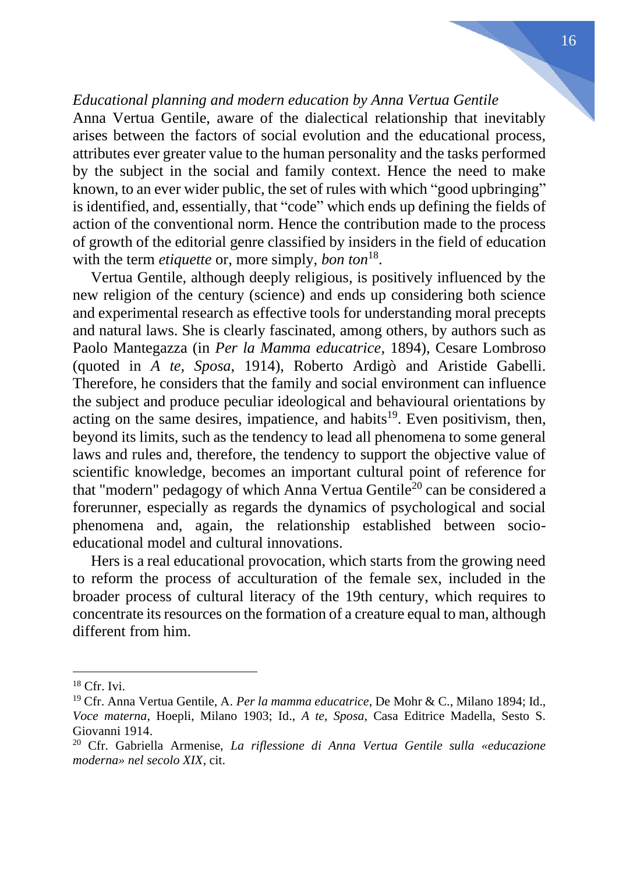## *Educational planning and modern education by Anna Vertua Gentile*

Anna Vertua Gentile, aware of the dialectical relationship that inevitably arises between the factors of social evolution and the educational process, attributes ever greater value to the human personality and the tasks performed by the subject in the social and family context. Hence the need to make known, to an ever wider public, the set of rules with which "good upbringing" is identified, and, essentially, that "code" which ends up defining the fields of action of the conventional norm. Hence the contribution made to the process of growth of the editorial genre classified by insiders in the field of education with the term *etiquette* or, more simply, *bon ton*<sup>18</sup>.

Vertua Gentile, although deeply religious, is positively influenced by the new religion of the century (science) and ends up considering both science and experimental research as effective tools for understanding moral precepts and natural laws. She is clearly fascinated, among others, by authors such as Paolo Mantegazza (in *Per la Mamma educatrice*, 1894), Cesare Lombroso (quoted in *A te, Sposa*, 1914), Roberto Ardigò and Aristide Gabelli. Therefore, he considers that the family and social environment can influence the subject and produce peculiar ideological and behavioural orientations by acting on the same desires, impatience, and habits<sup>19</sup>. Even positivism, then, beyond its limits, such as the tendency to lead all phenomena to some general laws and rules and, therefore, the tendency to support the objective value of scientific knowledge, becomes an important cultural point of reference for that "modern" pedagogy of which Anna Vertua Gentile<sup>20</sup> can be considered a forerunner, especially as regards the dynamics of psychological and social phenomena and, again, the relationship established between socioeducational model and cultural innovations.

Hers is a real educational provocation, which starts from the growing need to reform the process of acculturation of the female sex, included in the broader process of cultural literacy of the 19th century, which requires to concentrate its resources on the formation of a creature equal to man, although different from him.

<sup>&</sup>lt;sup>18</sup> Cfr. Ivi.

<sup>19</sup> Cfr. Anna Vertua Gentile, A. *Per la mamma educatrice*, De Mohr & C., Milano 1894; Id., *Voce materna*, Hoepli, Milano 1903; Id., *A te, Sposa,* Casa Editrice Madella, Sesto S. Giovanni 1914.

<sup>20</sup> Cfr. Gabriella Armenise, *La riflessione di Anna Vertua Gentile sulla «educazione moderna» nel secolo XIX*, cit.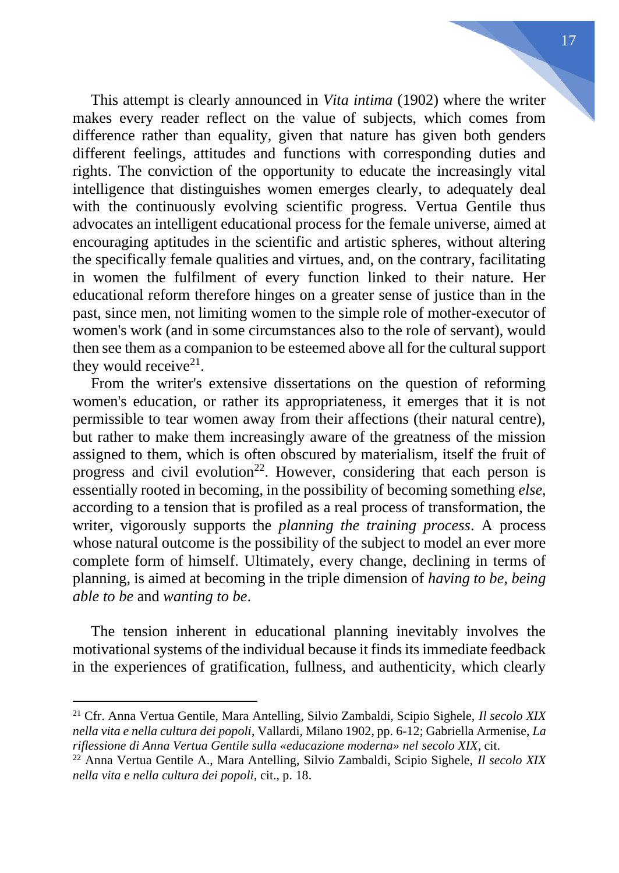This attempt is clearly announced in *Vita intima* (1902) where the writer makes every reader reflect on the value of subjects, which comes from difference rather than equality, given that nature has given both genders different feelings, attitudes and functions with corresponding duties and rights. The conviction of the opportunity to educate the increasingly vital intelligence that distinguishes women emerges clearly, to adequately deal with the continuously evolving scientific progress. Vertua Gentile thus advocates an intelligent educational process for the female universe, aimed at encouraging aptitudes in the scientific and artistic spheres, without altering the specifically female qualities and virtues, and, on the contrary, facilitating in women the fulfilment of every function linked to their nature. Her educational reform therefore hinges on a greater sense of justice than in the past, since men, not limiting women to the simple role of mother-executor of women's work (and in some circumstances also to the role of servant), would then see them as a companion to be esteemed above all for the cultural support they would receive<sup>21</sup>.

From the writer's extensive dissertations on the question of reforming women's education, or rather its appropriateness, it emerges that it is not permissible to tear women away from their affections (their natural centre), but rather to make them increasingly aware of the greatness of the mission assigned to them, which is often obscured by materialism, itself the fruit of progress and civil evolution<sup>22</sup>. However, considering that each person is essentially rooted in becoming, in the possibility of becoming something *else*, according to a tension that is profiled as a real process of transformation, the writer, vigorously supports the *planning the training process*. A process whose natural outcome is the possibility of the subject to model an ever more complete form of himself. Ultimately, every change, declining in terms of planning, is aimed at becoming in the triple dimension of *having to be*, *being able to be* and *wanting to be*.

The tension inherent in educational planning inevitably involves the motivational systems of the individual because it finds its immediate feedback in the experiences of gratification, fullness, and authenticity, which clearly

<sup>21</sup> Cfr. Anna Vertua Gentile, Mara Antelling, Silvio Zambaldi, Scipio Sighele, *Il secolo XIX nella vita e nella cultura dei popoli*, Vallardi, Milano 1902, pp. 6-12; Gabriella Armenise, *La riflessione di Anna Vertua Gentile sulla «educazione moderna» nel secolo XIX*, cit.

<sup>22</sup> Anna Vertua Gentile A., Mara Antelling, Silvio Zambaldi, Scipio Sighele, *Il secolo XIX nella vita e nella cultura dei popoli*, cit., p. 18.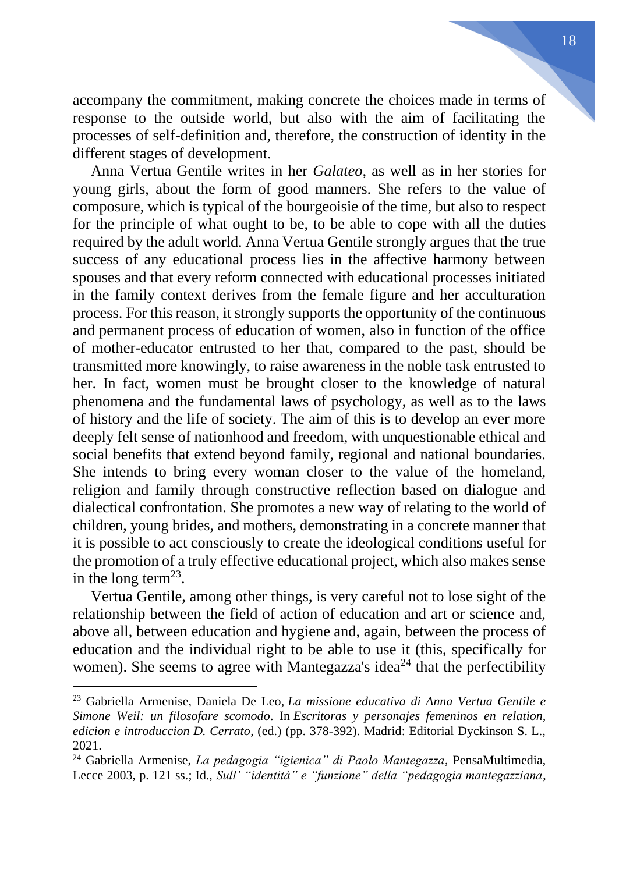accompany the commitment, making concrete the choices made in terms of response to the outside world, but also with the aim of facilitating the processes of self-definition and, therefore, the construction of identity in the different stages of development.

Anna Vertua Gentile writes in her *Galateo*, as well as in her stories for young girls, about the form of good manners. She refers to the value of composure, which is typical of the bourgeoisie of the time, but also to respect for the principle of what ought to be, to be able to cope with all the duties required by the adult world. Anna Vertua Gentile strongly argues that the true success of any educational process lies in the affective harmony between spouses and that every reform connected with educational processes initiated in the family context derives from the female figure and her acculturation process. For this reason, it strongly supports the opportunity of the continuous and permanent process of education of women, also in function of the office of mother-educator entrusted to her that, compared to the past, should be transmitted more knowingly, to raise awareness in the noble task entrusted to her. In fact, women must be brought closer to the knowledge of natural phenomena and the fundamental laws of psychology, as well as to the laws of history and the life of society. The aim of this is to develop an ever more deeply felt sense of nationhood and freedom, with unquestionable ethical and social benefits that extend beyond family, regional and national boundaries. She intends to bring every woman closer to the value of the homeland, religion and family through constructive reflection based on dialogue and dialectical confrontation. She promotes a new way of relating to the world of children, young brides, and mothers, demonstrating in a concrete manner that it is possible to act consciously to create the ideological conditions useful for the promotion of a truly effective educational project, which also makes sense in the long term<sup>23</sup>.

Vertua Gentile, among other things, is very careful not to lose sight of the relationship between the field of action of education and art or science and, above all, between education and hygiene and, again, between the process of education and the individual right to be able to use it (this, specifically for women). She seems to agree with Mantegazza's idea<sup>24</sup> that the perfectibility

<sup>23</sup> Gabriella Armenise, Daniela De Leo, *La missione educativa di Anna Vertua Gentile e Simone Weil: un filosofare scomodo*. In *Escritoras y personajes femeninos en relation, edicion e introduccion D. Cerrato*, (ed.) (pp. 378-392). Madrid: Editorial Dyckinson S. L., 2021.

<sup>24</sup> Gabriella Armenise, *La pedagogia "igienica" di Paolo Mantegazza*, PensaMultimedia, Lecce 2003, p. 121 ss.; Id., *Sull' "identità" e "funzione" della "pedagogia mantegazziana*,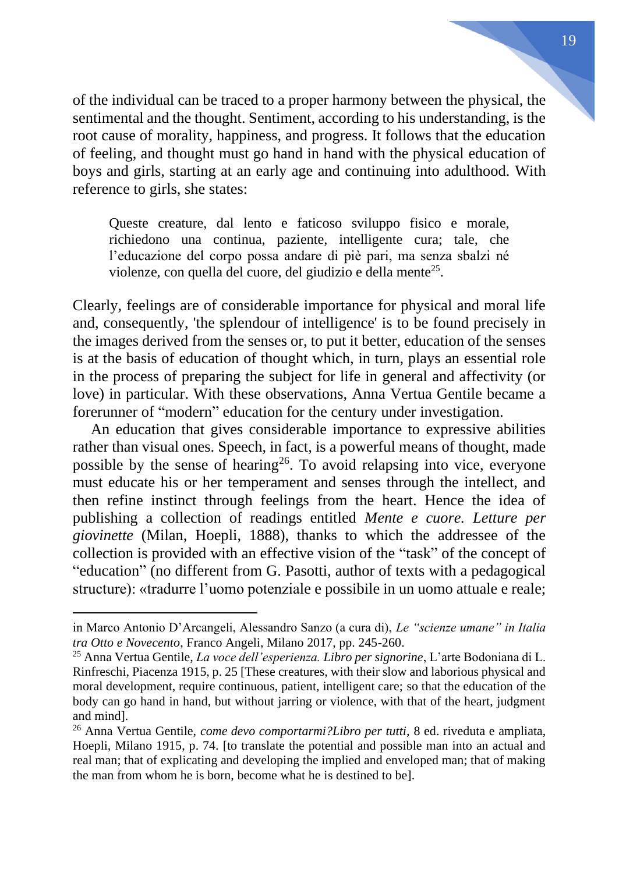of the individual can be traced to a proper harmony between the physical, the sentimental and the thought. Sentiment, according to his understanding, is the root cause of morality, happiness, and progress. It follows that the education of feeling, and thought must go hand in hand with the physical education of boys and girls, starting at an early age and continuing into adulthood. With reference to girls, she states:

Queste creature, dal lento e faticoso sviluppo fisico e morale, richiedono una continua, paziente, intelligente cura; tale, che l'educazione del corpo possa andare di piè pari, ma senza sbalzi né violenze, con quella del cuore, del giudizio e della mente<sup>25</sup>.

Clearly, feelings are of considerable importance for physical and moral life and, consequently, 'the splendour of intelligence' is to be found precisely in the images derived from the senses or, to put it better, education of the senses is at the basis of education of thought which, in turn, plays an essential role in the process of preparing the subject for life in general and affectivity (or love) in particular. With these observations, Anna Vertua Gentile became a forerunner of "modern" education for the century under investigation.

An education that gives considerable importance to expressive abilities rather than visual ones. Speech, in fact, is a powerful means of thought, made possible by the sense of hearing<sup>26</sup>. To avoid relapsing into vice, everyone must educate his or her temperament and senses through the intellect, and then refine instinct through feelings from the heart. Hence the idea of publishing a collection of readings entitled *Mente e cuore. Letture per giovinette* (Milan, Hoepli, 1888), thanks to which the addressee of the collection is provided with an effective vision of the "task" of the concept of "education" (no different from G. Pasotti, author of texts with a pedagogical structure): «tradurre l'uomo potenziale e possibile in un uomo attuale e reale;

in Marco Antonio D'Arcangeli, Alessandro Sanzo (a cura di), *Le "scienze umane" in Italia tra Otto e Novecento*, Franco Angeli, Milano 2017, pp. 245-260.

<sup>25</sup> Anna Vertua Gentile, *La voce dell'esperienza. Libro per signorine*, L'arte Bodoniana di L. Rinfreschi, Piacenza 1915, p. 25 [These creatures, with their slow and laborious physical and moral development, require continuous, patient, intelligent care; so that the education of the body can go hand in hand, but without jarring or violence, with that of the heart, judgment and mind].

<sup>26</sup> Anna Vertua Gentile, *come devo comportarmi?Libro per tutti,* 8 ed. riveduta e ampliata, Hoepli, Milano 1915, p. 74. [to translate the potential and possible man into an actual and real man; that of explicating and developing the implied and enveloped man; that of making the man from whom he is born, become what he is destined to be].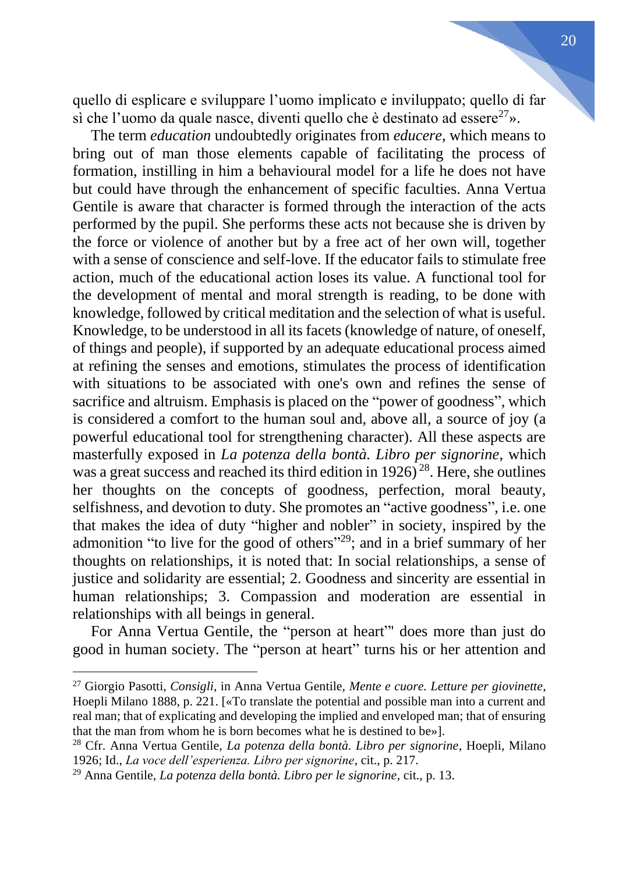quello di esplicare e sviluppare l'uomo implicato e inviluppato; quello di far sì che l'uomo da quale nasce, diventi quello che è destinato ad essere<sup>27</sup>».

The term *education* undoubtedly originates from *educere*, which means to bring out of man those elements capable of facilitating the process of formation, instilling in him a behavioural model for a life he does not have but could have through the enhancement of specific faculties. Anna Vertua Gentile is aware that character is formed through the interaction of the acts performed by the pupil. She performs these acts not because she is driven by the force or violence of another but by a free act of her own will, together with a sense of conscience and self-love. If the educator fails to stimulate free action, much of the educational action loses its value. A functional tool for the development of mental and moral strength is reading, to be done with knowledge, followed by critical meditation and the selection of what is useful. Knowledge, to be understood in all its facets (knowledge of nature, of oneself, of things and people), if supported by an adequate educational process aimed at refining the senses and emotions, stimulates the process of identification with situations to be associated with one's own and refines the sense of sacrifice and altruism. Emphasis is placed on the "power of goodness", which is considered a comfort to the human soul and, above all, a source of joy (a powerful educational tool for strengthening character). All these aspects are masterfully exposed in *La potenza della bontà. Libro per signorine*, which was a great success and reached its third edition in 1926)<sup>28</sup>. Here, she outlines her thoughts on the concepts of goodness, perfection, moral beauty, selfishness, and devotion to duty. She promotes an "active goodness", i.e. one that makes the idea of duty "higher and nobler" in society, inspired by the admonition "to live for the good of others"<sup>29</sup>; and in a brief summary of her thoughts on relationships, it is noted that: In social relationships, a sense of justice and solidarity are essential; 2. Goodness and sincerity are essential in human relationships; 3. Compassion and moderation are essential in relationships with all beings in general.

For Anna Vertua Gentile, the "person at heart"' does more than just do good in human society. The "person at heart" turns his or her attention and

<sup>27</sup> Giorgio Pasotti, *Consigli*, in Anna Vertua Gentile, *Mente e cuore. Letture per giovinette*, Hoepli Milano 1888, p. 221. [«To translate the potential and possible man into a current and real man; that of explicating and developing the implied and enveloped man; that of ensuring that the man from whom he is born becomes what he is destined to be»].

<sup>28</sup> Cfr. Anna Vertua Gentile, *La potenza della bontà. Libro per signorine*, Hoepli, Milano 1926; Id., *La voce dell'esperienza. Libro per signorine*, cit., p. 217.

<sup>29</sup> Anna Gentile, *La potenza della bontà. Libro per le signorine*, cit., p. 13.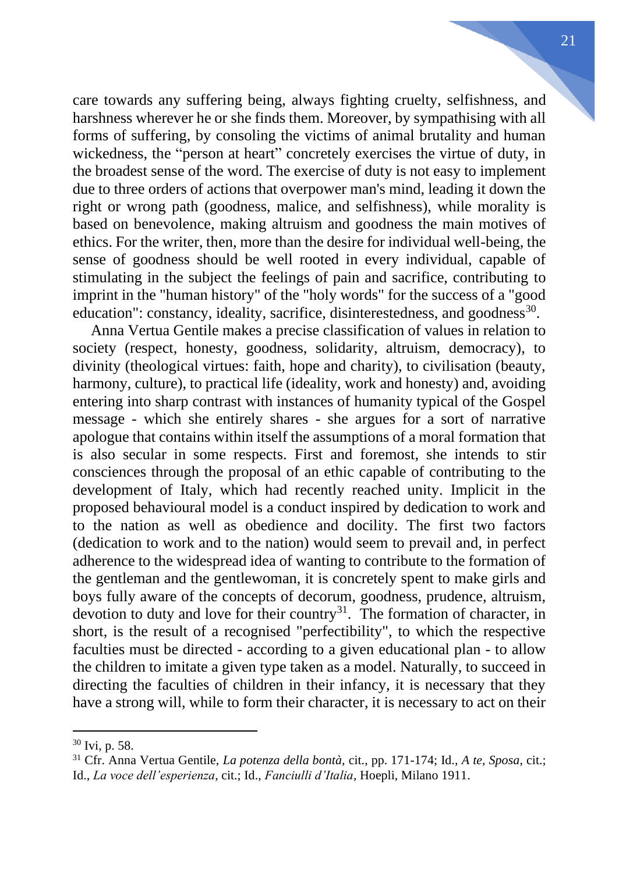care towards any suffering being, always fighting cruelty, selfishness, and harshness wherever he or she finds them. Moreover, by sympathising with all forms of suffering, by consoling the victims of animal brutality and human wickedness, the "person at heart" concretely exercises the virtue of duty, in the broadest sense of the word. The exercise of duty is not easy to implement due to three orders of actions that overpower man's mind, leading it down the right or wrong path (goodness, malice, and selfishness), while morality is based on benevolence, making altruism and goodness the main motives of ethics. For the writer, then, more than the desire for individual well-being, the sense of goodness should be well rooted in every individual, capable of stimulating in the subject the feelings of pain and sacrifice, contributing to imprint in the "human history" of the "holy words" for the success of a "good education": constancy, ideality, sacrifice, disinterestedness, and goodness<sup>30</sup>.

Anna Vertua Gentile makes a precise classification of values in relation to society (respect, honesty, goodness, solidarity, altruism, democracy), to divinity (theological virtues: faith, hope and charity), to civilisation (beauty, harmony, culture), to practical life (ideality, work and honesty) and, avoiding entering into sharp contrast with instances of humanity typical of the Gospel message - which she entirely shares - she argues for a sort of narrative apologue that contains within itself the assumptions of a moral formation that is also secular in some respects. First and foremost, she intends to stir consciences through the proposal of an ethic capable of contributing to the development of Italy, which had recently reached unity. Implicit in the proposed behavioural model is a conduct inspired by dedication to work and to the nation as well as obedience and docility. The first two factors (dedication to work and to the nation) would seem to prevail and, in perfect adherence to the widespread idea of wanting to contribute to the formation of the gentleman and the gentlewoman, it is concretely spent to make girls and boys fully aware of the concepts of decorum, goodness, prudence, altruism, devotion to duty and love for their country<sup>31</sup>. The formation of character, in short, is the result of a recognised "perfectibility", to which the respective faculties must be directed - according to a given educational plan - to allow the children to imitate a given type taken as a model. Naturally, to succeed in directing the faculties of children in their infancy, it is necessary that they have a strong will, while to form their character, it is necessary to act on their

<sup>30</sup> Ivi, p. 58.

<sup>31</sup> Cfr. Anna Vertua Gentile, *La potenza della bontà*, cit., pp. 171-174; Id., *A te, Sposa*, cit.; Id., *La voce dell'esperienza*, cit.; Id., *Fanciulli d'Italia*, Hoepli, Milano 1911.